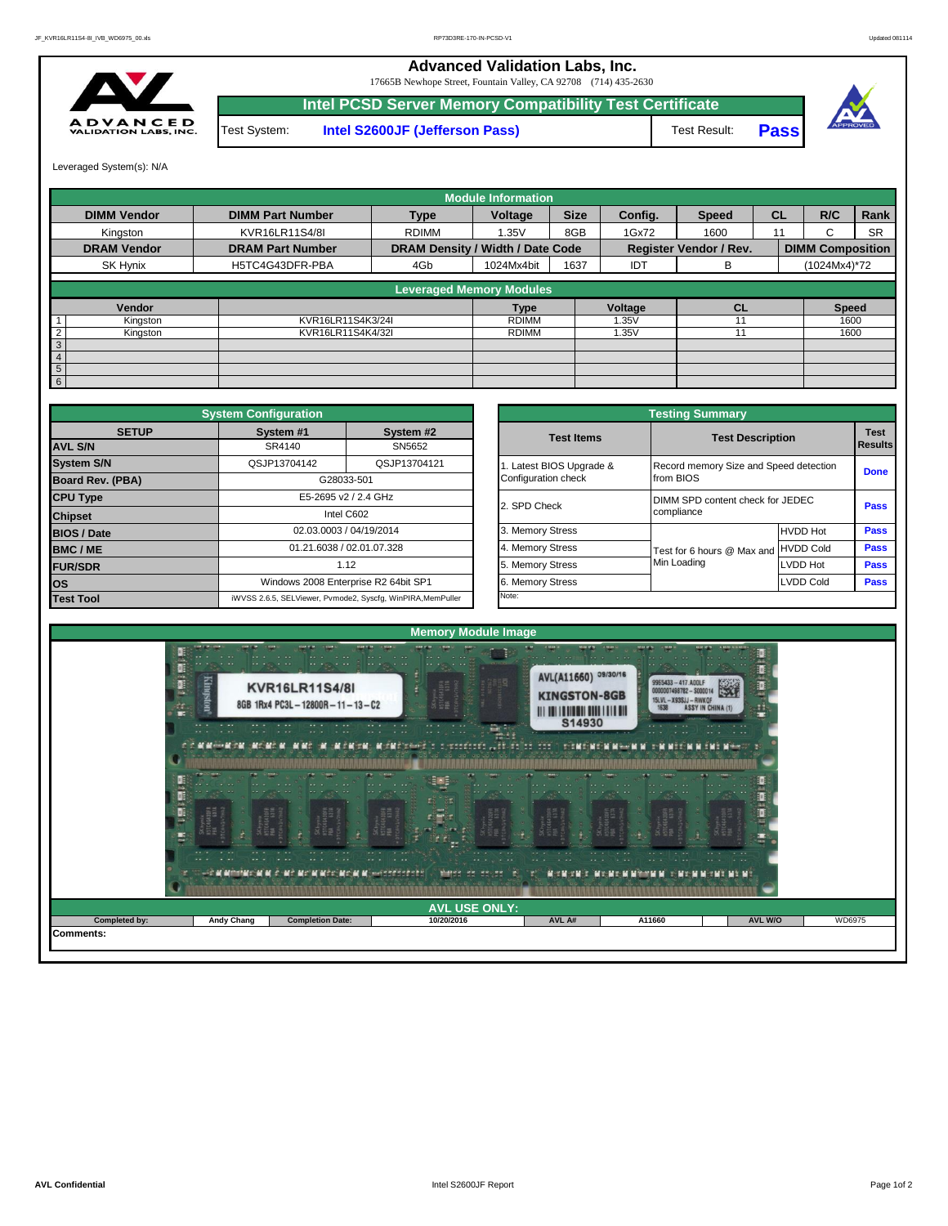**Advanced Validation Labs, Inc.** 

**A D V A N C E D**<br>VALIDATION LABS, INC.

|     |              | 17665B Newhope Street, Fountain Valley, CA 92708 (714) 435-2630 |              |             |
|-----|--------------|-----------------------------------------------------------------|--------------|-------------|
|     |              | Intel PCSD Server Memory Compatibility Test Certificate         |              |             |
| IC. | Test System: | Intel S2600JF (Jefferson Pass)                                  | Test Result: | <b>Pass</b> |



Leveraged System(s): N/A

|                            |                         |                                  | <b>Module Information</b> |             |         |                               |           |                         |           |
|----------------------------|-------------------------|----------------------------------|---------------------------|-------------|---------|-------------------------------|-----------|-------------------------|-----------|
| <b>DIMM Vendor</b>         | <b>DIMM Part Number</b> | <b>Type</b>                      | Voltage                   | <b>Size</b> | Config. | <b>Speed</b>                  | <b>CL</b> | R/C                     | Rank      |
| Kingston                   | KVR16LR11S4/8I          | <b>RDIMM</b>                     | 1.35V                     | 8GB         | 1Gx72   | 1600                          | 11        | $\sim$<br>ι.            | <b>SR</b> |
| <b>DRAM Vendor</b>         | <b>DRAM Part Number</b> | DRAM Density / Width / Date Code |                           |             |         | <b>Register Vendor / Rev.</b> |           | <b>DIMM Composition</b> |           |
| SK Hynix                   | H5TC4G43DFR-PBA         | 4Gb                              | 1024Mx4bit                | 1637        | IDT     | в                             |           | (1024Mx4)*72            |           |
|                            |                         | <b>Leveraged Memory Modules</b>  |                           |             |         |                               |           |                         |           |
|                            |                         |                                  |                           |             |         |                               |           |                         |           |
| Vendor                     |                         |                                  | <b>Type</b>               |             | Voltage | <b>CL</b>                     |           | <b>Speed</b>            |           |
| Kingston                   | KVR16LR11S4K3/24I       |                                  | <b>RDIMM</b>              |             | 1.35V   |                               |           | 1600                    |           |
| $\overline{2}$<br>Kingston | KVR16LR11S4K4/32I       |                                  | <b>RDIMM</b>              |             | 1.35V   |                               |           | 1600                    |           |
| $\mathbf{3}$               |                         |                                  |                           |             |         |                               |           |                         |           |
| $\overline{4}$             |                         |                                  |                           |             |         |                               |           |                         |           |
| $5\phantom{.0}$            |                         |                                  |                           |             |         |                               |           |                         |           |
| 6                          |                         |                                  |                           |             |         |                               |           |                         |           |

|                                | <b>System Configuration</b> |                                                             |                       | <b>Testing Summary</b>                 |                  |                       |
|--------------------------------|-----------------------------|-------------------------------------------------------------|-----------------------|----------------------------------------|------------------|-----------------------|
| <b>SETUP</b><br><b>AVL S/N</b> | System #1<br>SR4140         | System #2<br>SN5652                                         | <b>Test Items</b>     | <b>Test Description</b>                |                  | <b>Test</b><br>Result |
| <b>System S/N</b>              | QSJP13704142                | QSJP13704121                                                | Latest BIOS Upgrade & | Record memory Size and Speed detection |                  |                       |
| <b>Board Rev. (PBA)</b>        |                             | G28033-501                                                  | Configuration check   | from BIOS                              |                  | Done                  |
| <b>CPU Type</b>                |                             | E5-2695 v2 / 2.4 GHz                                        | 2. SPD Check          | DIMM SPD content check for JEDEC       |                  | Pass                  |
| <b>Chipset</b>                 |                             | Intel C602                                                  |                       | compliance                             |                  |                       |
| <b>BIOS / Date</b>             |                             | 02.03.0003 / 04/19/2014                                     | 3. Memory Stress      |                                        | <b>HVDD Hot</b>  | Pass                  |
| BMC/ME                         |                             | 01.21.6038 / 02.01.07.328                                   | 4. Memory Stress      | Test for 6 hours @ Max and HVDD Cold   |                  | Pass                  |
| <b>FUR/SDR</b>                 |                             | 1.12                                                        | 5. Memory Stress      | Min Loading                            | LVDD Hot         | Pass                  |
| <b>los</b>                     |                             | Windows 2008 Enterprise R2 64bit SP1                        | 6. Memory Stress      |                                        | <b>LVDD Cold</b> | Pass                  |
| <b>Test Tool</b>               |                             | iWVSS 2.6.5, SELViewer, Pvmode2, Syscfg, WinPIRA, MemPuller | Note:                 |                                        |                  |                       |

|                         |                                                 | <b>Testing Summary</b>                              |                  |                               |
|-------------------------|-------------------------------------------------|-----------------------------------------------------|------------------|-------------------------------|
| System #2<br>SN5652     | <b>Test Items</b>                               | <b>Test Description</b>                             |                  | <b>Test</b><br><b>Results</b> |
| QSJP13704121            | 1. Latest BIOS Upgrade &<br>Configuration check | Record memory Size and Speed detection<br>from BIOS |                  | <b>Done</b>                   |
| <b>GHz</b>              | 2. SPD Check                                    | DIMM SPD content check for JEDEC<br>compliance      |                  | Pass                          |
| /2014                   | 3. Memory Stress                                |                                                     | <b>HVDD Hot</b>  | Pass                          |
| 17.328                  | 4. Memory Stress                                | Test for 6 hours @ Max and                          | <b>HVDD Cold</b> | Pass                          |
|                         | 5. Memory Stress                                | Min Loading                                         | <b>LVDD Hot</b>  | Pass                          |
| R2 64bit SP1            | 6. Memory Stress                                |                                                     | <b>LVDD Cold</b> | Pass                          |
| cfg, WinPIRA, MemPuller | Note:                                           |                                                     |                  |                               |